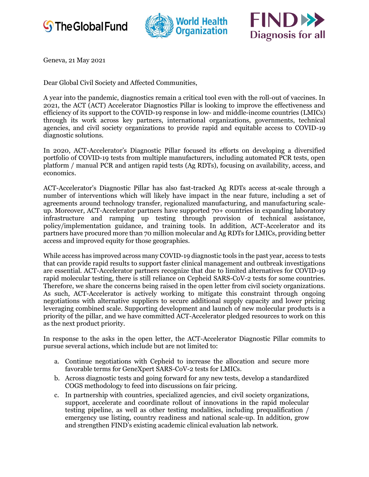





Geneva, 21 May 2021

Dear Global Civil Society and Affected Communities,

A year into the pandemic, diagnostics remain a critical tool even with the roll-out of vaccines. In 2021, the ACT (ACT) Accelerator Diagnostics Pillar is looking to improve the effectiveness and efficiency of its support to the COVID-19 response in low- and middle-income countries (LMICs) through its work across key partners, international organizations, governments, technical agencies, and civil society organizations to provide rapid and equitable access to COVID-19 diagnostic solutions.

In 2020, ACT-Accelerator's Diagnostic Pillar focused its efforts on developing a diversified portfolio of COVID-19 tests from multiple manufacturers, including automated PCR tests, open platform / manual PCR and antigen rapid tests (Ag RDTs), focusing on availability, access, and economics.

ACT-Accelerator's Diagnostic Pillar has also fast-tracked Ag RDTs access at-scale through a number of interventions which will likely have impact in the near future, including a set of agreements around technology transfer, regionalized manufacturing, and manufacturing scaleup. Moreover, ACT-Accelerator partners have supported 70+ countries in expanding laboratory infrastructure and ramping up testing through provision of technical assistance, policy/implementation guidance, and training tools. In addition, ACT-Accelerator and its partners have procured more than 70 million molecular and Ag RDTs for LMICs, providing better access and improved equity for those geographies.

While access has improved across many COVID-19 diagnostic tools in the past year, access to tests that can provide rapid results to support faster clinical management and outbreak investigations are essential. ACT-Accelerator partners recognize that due to limited alternatives for COVID-19 rapid molecular testing, there is still reliance on Cepheid SARS-CoV-2 tests for some countries. Therefore, we share the concerns being raised in the open letter from civil society organizations. As such, ACT-Accelerator is actively working to mitigate this constraint through ongoing negotiations with alternative suppliers to secure additional supply capacity and lower pricing leveraging combined scale. Supporting development and launch of new molecular products is a priority of the pillar, and we have committed ACT-Accelerator pledged resources to work on this as the next product priority.

In response to the asks in the open letter, the ACT-Accelerator Diagnostic Pillar commits to pursue several actions, which include but are not limited to:

- a. Continue negotiations with Cepheid to increase the allocation and secure more favorable terms for GeneXpert SARS-CoV-2 tests for LMICs.
- b. Across diagnostic tests and going forward for any new tests, develop a standardized COGS methodology to feed into discussions on fair pricing.
- c. In partnership with countries, specialized agencies, and civil society organizations, support, accelerate and coordinate rollout of innovations in the rapid molecular testing pipeline, as well as other testing modalities, including prequalification / emergency use listing, country readiness and national scale-up. In addition, grow and strengthen FIND's existing academic clinical evaluation lab network.